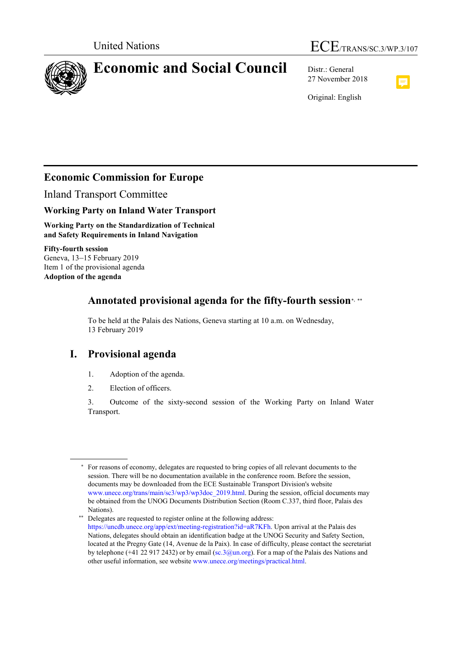

# United Nations  $\text{ECE}_{/ \text{TRANS/SC.3/WP.3/107}}$

27 November 2018



Original: English

# **Economic Commission for Europe**

Inland Transport Committee

## **Working Party on Inland Water Transport**

**Working Party on the Standardization of Technical and Safety Requirements in Inland Navigation**

**Fifty-fourth session** Geneva, 13–15 February 2019 Item 1 of the provisional agenda **Adoption of the agenda**

## **Annotated provisional agenda for the fifty-fourth session**[∗](#page-0-0), [∗∗](#page-0-1)

To be held at the Palais des Nations, Geneva starting at 10 a.m. on Wednesday, 13 February 2019

## **I. Provisional agenda**

- 1. Adoption of the agenda.
- 2. Election of officers.

3. Outcome of the sixty-second session of the Working Party on Inland Water Transport.

<span id="page-0-0"></span><sup>∗</sup> For reasons of economy, delegates are requested to bring copies of all relevant documents to the session. There will be no documentation available in the conference room. Before the session, documents may be downloaded from the ECE Sustainable Transport Division's website [www.unece.org/trans/main/sc3/wp3/wp3doc\\_2019.html.](http://www.unece.org/trans/main/sc3/wp3/wp3doc_2019.html) During the session, official documents may be obtained from the UNOG Documents Distribution Section (Room C.337, third floor, Palais des Nations).

<span id="page-0-1"></span><sup>∗∗</sup> Delegates are requested to register online at the following address: https://uncdb.unece.org/app/ext/meeting-registration?id=aR7KFh. Upon arrival at the Palais des Nations, delegates should obtain an identification badge at the UNOG Security and Safety Section, located at the Pregny Gate (14, Avenue de la Paix). In case of difficulty, please contact the secretariat by telephone (+41 22 917 2432) or by email [\(sc.3@un.org\)](mailto:sc.3@un.org). For a map of the Palais des Nations and other useful information, see website [www.unece.org/meetings/practical.html.](http://www.unece.org/meetings/practical.htm)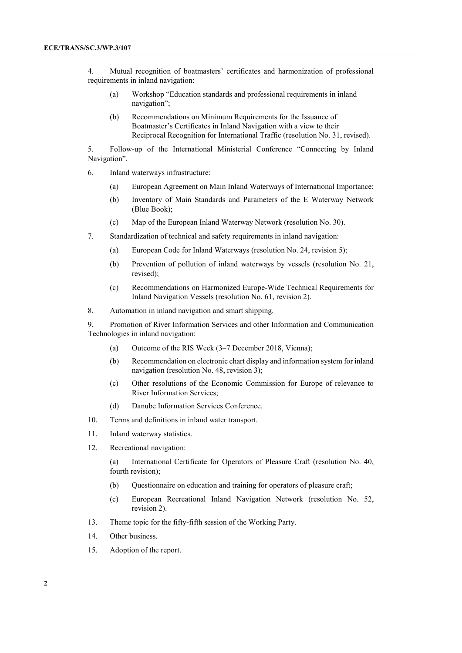4. Mutual recognition of boatmasters' certificates and harmonization of professional requirements in inland navigation:

- (a) Workshop "Education standards and professional requirements in inland navigation";
- (b) Recommendations on Minimum Requirements for the Issuance of Boatmaster's Certificates in Inland Navigation with a view to their Reciprocal Recognition for International Traffic (resolution No. 31, revised).

5. Follow-up of the International Ministerial Conference "Connecting by Inland Navigation".

- 6. Inland waterways infrastructure:
	- (a) European Agreement on Main Inland Waterways of International Importance;
	- (b) Inventory of Main Standards and Parameters of the E Waterway Network (Blue Book);
	- (c) Map of the European Inland Waterway Network (resolution No. 30).
- 7. Standardization of technical and safety requirements in inland navigation:
	- (a) European Code for Inland Waterways (resolution No. 24, revision 5);
	- (b) Prevention of pollution of inland waterways by vessels (resolution No. 21, revised);
	- (c) Recommendations on Harmonized Europe-Wide Technical Requirements for Inland Navigation Vessels (resolution No. 61, revision 2).
- 8. Automation in inland navigation and smart shipping.

9. Promotion of River Information Services and other Information and Communication Technologies in inland navigation:

- (a) Outcome of the RIS Week (3–7 December 2018, Vienna);
- (b) Recommendation on electronic chart display and information system for inland navigation (resolution No. 48, revision 3);
- (c) Other resolutions of the Economic Commission for Europe of relevance to River Information Services;
- (d) Danube Information Services Conference.
- 10. Terms and definitions in inland water transport.
- 11. Inland waterway statistics.
- 12. Recreational navigation:

(a) International Certificate for Operators of Pleasure Craft (resolution No. 40, fourth revision);

- (b) Questionnaire on education and training for operators of pleasure craft;
- (c) European Recreational Inland Navigation Network (resolution No. 52, revision 2).
- 13. Theme topic for the fifty-fifth session of the Working Party.
- 14. Other business.
- 15. Adoption of the report.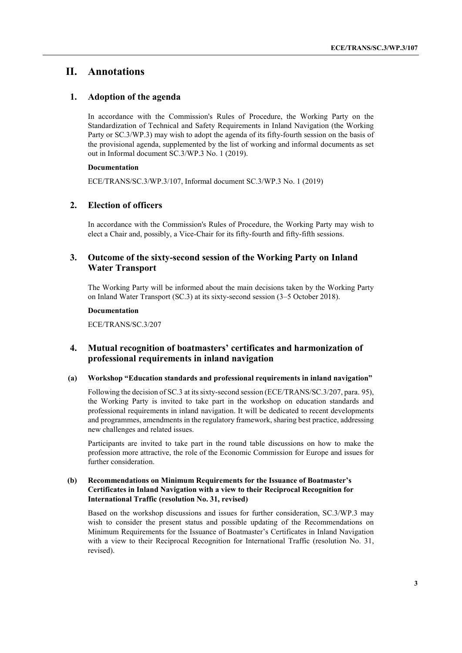## **II. Annotations**

## **1. Adoption of the agenda**

In accordance with the Commission's Rules of Procedure, the Working Party on the Standardization of Technical and Safety Requirements in Inland Navigation (the Working Party or SC.3/WP.3) may wish to adopt the agenda of its fifty-fourth session on the basis of the provisional agenda, supplemented by the list of working and informal documents as set out in Informal document SC.3/WP.3 No. 1 (2019).

### **Documentation**

ECE/TRANS/SC.3/WP.3/107, Informal document SC.3/WP.3 No. 1 (2019)

## **2. Election of officers**

In accordance with the Commission's Rules of Procedure, the Working Party may wish to elect a Chair and, possibly, a Vice-Chair for its fifty-fourth and fifty-fifth sessions.

## **3. Outcome of the sixty-second session of the Working Party on Inland Water Transport**

The Working Party will be informed about the main decisions taken by the Working Party on Inland Water Transport (SC.3) at its sixty-second session (3–5 October 2018).

#### **Documentation**

ECE/TRANS/SC.3/207

## **4. Mutual recognition of boatmasters' certificates and harmonization of professional requirements in inland navigation**

#### **(a) Workshop "Education standards and professional requirements in inland navigation"**

Following the decision of SC.3 at its sixty-second session (ECE/TRANS/SC.3/207, para. 95), the Working Party is invited to take part in the workshop on education standards and professional requirements in inland navigation. It will be dedicated to recent developments and programmes, amendments in the regulatory framework, sharing best practice, addressing new challenges and related issues.

Participants are invited to take part in the round table discussions on how to make the profession more attractive, the role of the Economic Commission for Europe and issues for further consideration.

#### **(b) Recommendations on Minimum Requirements for the Issuance of Boatmaster's Certificates in Inland Navigation with a view to their Reciprocal Recognition for International Traffic (resolution No. 31, revised)**

Based on the workshop discussions and issues for further consideration, SC.3/WP.3 may wish to consider the present status and possible updating of the Recommendations on Minimum Requirements for the Issuance of Boatmaster's Certificates in Inland Navigation with a view to their Reciprocal Recognition for International Traffic (resolution No. 31, revised).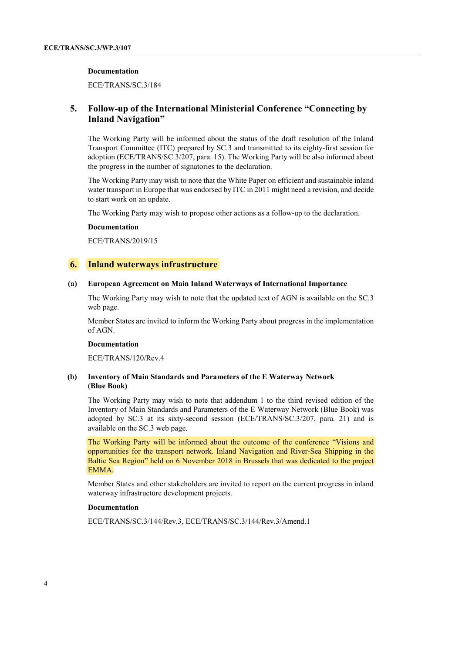#### **Documentation**

ECE/TRANS/SC.3/184

## **5. Follow-up of the International Ministerial Conference "Connecting by Inland Navigation"**

The Working Party will be informed about the status of the draft resolution of the Inland Transport Committee (ITC) prepared by SC.3 and transmitted to its eighty-first session for adoption (ECE/TRANS/SC.3/207, para. 15). The Working Party will be also informed about the progress in the number of signatories to the declaration.

The Working Party may wish to note that the White Paper on efficient and sustainable inland water transport in Europe that was endorsed by ITC in 2011 might need a revision, and decide to start work on an update.

The Working Party may wish to propose other actions as a follow-up to the declaration.

#### **Documentation**

ECE/TRANS/2019/15

#### **6. Inland waterways infrastructure**

#### **(a) European Agreement on Main Inland Waterways of International Importance**

The Working Party may wish to note that the updated text of AGN is available on the SC.3 web page.

Member States are invited to inform the Working Party about progress in the implementation of AGN.

#### **Documentation**

ECE/TRANS/120/Rev.4

### **(b) Inventory of Main Standards and Parameters of the E Waterway Network (Blue Book)**

The Working Party may wish to note that addendum 1 to the third revised edition of the Inventory of Main Standards and Parameters of the E Waterway Network (Blue Book) was adopted by SC.3 at its sixty-second session (ECE/TRANS/SC.3/207, para. 21) and is available on the SC.3 web page.

The Working Party will be informed about the outcome of the conference "Visions and opportunities for the transport network. Inland Navigation and River-Sea Shipping in the Baltic Sea Region" held on 6 November 2018 in Brussels that was dedicated to the project EMMA.

Member States and other stakeholders are invited to report on the current progress in inland waterway infrastructure development projects.

#### **Documentation**

ECE/TRANS/SC.3/144/Rev.3, ECE/TRANS/SC.3/144/Rev.3/Amend.1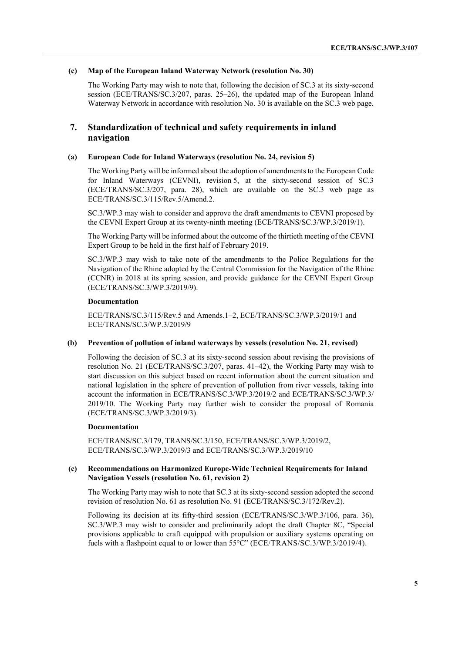#### **(c) Map of the European Inland Waterway Network (resolution No. 30)**

The Working Party may wish to note that, following the decision of SC.3 at its sixty-second session (ECE/TRANS/SC.3/207, paras. 25–26), the updated map of the European Inland Waterway Network in accordance with resolution No. 30 is available on the SC.3 web page.

## **7. Standardization of technical and safety requirements in inland navigation**

#### **(a) European Code for Inland Waterways (resolution No. 24, revision 5)**

The Working Party will be informed about the adoption of amendments to the European Code for Inland Waterways (CEVNI), revision 5, at the sixty-second session of SC.3 (ECE/TRANS/SC.3/207, para. 28), which are available on the SC.3 web page as ECE/TRANS/SC.3/115/Rev.5/Amend.2.

SC.3/WP.3 may wish to consider and approve the draft amendments to CEVNI proposed by the CEVNI Expert Group at its twenty-ninth meeting (ECE/TRANS/SC.3/WP.3/2019/1).

The Working Party will be informed about the outcome of the thirtieth meeting of the CEVNI Expert Group to be held in the first half of February 2019.

SC.3/WP.3 may wish to take note of the amendments to the Police Regulations for the Navigation of the Rhine adopted by the Central Commission for the Navigation of the Rhine (CCNR) in 2018 at its spring session, and provide guidance for the CEVNI Expert Group (ECE/TRANS/SC.3/WP.3/2019/9).

#### **Documentation**

ECE/TRANS/SC.3/115/Rev.5 and Amends.1–2, ECE/TRANS/SC.3/WP.3/2019/1 and ECE/TRANS/SC.3/WP.3/2019/9

#### **(b) Prevention of pollution of inland waterways by vessels (resolution No. 21, revised)**

Following the decision of SC.3 at its sixty-second session about revising the provisions of resolution No. 21 (ECE/TRANS/SC.3/207, paras. 41–42), the Working Party may wish to start discussion on this subject based on recent information about the current situation and national legislation in the sphere of prevention of pollution from river vessels, taking into account the information in ECE/TRANS/SC.3/WP.3/2019/2 and ECE/TRANS/SC.3/WP.3/ 2019/10. The Working Party may further wish to consider the proposal of Romania (ECE/TRANS/SC.3/WP.3/2019/3).

#### **Documentation**

ECE/TRANS/SC.3/179, TRANS/SC.3/150, ECE/TRANS/SC.3/WP.3/2019/2, ECE/TRANS/SC.3/WP.3/2019/3 and ECE/TRANS/SC.3/WP.3/2019/10

#### **(c) Recommendations on Harmonized Europe-Wide Technical Requirements for Inland Navigation Vessels (resolution No. 61, revision 2)**

The Working Party may wish to note that SC.3 at its sixty-second session adopted the second revision of resolution No. 61 as resolution No. 91 (ECE/TRANS/SC.3/172/Rev.2).

Following its decision at its fifty-third session (ECE/TRANS/SC.3/WP.3/106, para. 36), SC.3/WP.3 may wish to consider and preliminarily adopt the draft Chapter 8C, "Special provisions applicable to craft equipped with propulsion or auxiliary systems operating on fuels with a flashpoint equal to or lower than 55°C" (ECE/TRANS/SC.3/WP.3/2019/4).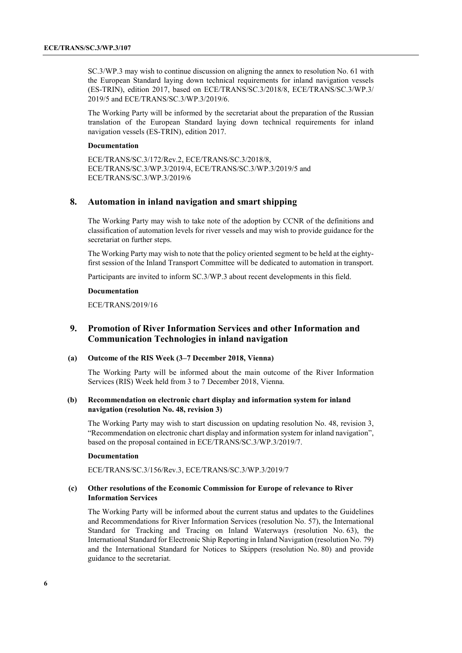SC.3/WP.3 may wish to continue discussion on aligning the annex to resolution No. 61 with the European Standard laying down technical requirements for inland navigation vessels (ES-TRIN), edition 2017, based on ECE/TRANS/SC.3/2018/8, ECE/TRANS/SC.3/WP.3/ 2019/5 and ECE/TRANS/SC.3/WP.3/2019/6.

The Working Party will be informed by the secretariat about the preparation of the Russian translation of the European Standard laying down technical requirements for inland navigation vessels (ES-TRIN), edition 2017.

#### **Documentation**

ECE/TRANS/SC.3/172/Rev.2, ECE/TRANS/SC.3/2018/8, ECE/TRANS/SC.3/WP.3/2019/4, ECE/TRANS/SC.3/WP.3/2019/5 and ECE/TRANS/SC.3/WP.3/2019/6

## **8. Automation in inland navigation and smart shipping**

The Working Party may wish to take note of the adoption by CCNR of the definitions and classification of automation levels for river vessels and may wish to provide guidance for the secretariat on further steps.

The Working Party may wish to note that the policy oriented segment to be held at the eightyfirst session of the Inland Transport Committee will be dedicated to automation in transport.

Participants are invited to inform SC.3/WP.3 about recent developments in this field.

#### **Documentation**

ECE/TRANS/2019/16

## **9. Promotion of River Information Services and other Information and Communication Technologies in inland navigation**

#### **(a) Outcome of the RIS Week (3–7 December 2018, Vienna)**

The Working Party will be informed about the main outcome of the River Information Services (RIS) Week held from 3 to 7 December 2018, Vienna.

#### **(b) Recommendation on electronic chart display and information system for inland navigation (resolution No. 48, revision 3)**

The Working Party may wish to start discussion on updating resolution No. 48, revision 3, "Recommendation on electronic chart display and information system for inland navigation", based on the proposal contained in ECE/TRANS/SC.3/WP.3/2019/7.

#### **Documentation**

ECE/TRANS/SC.3/156/Rev.3, ECE/TRANS/SC.3/WP.3/2019/7

#### **(c) Other resolutions of the Economic Commission for Europe of relevance to River Information Services**

The Working Party will be informed about the current status and updates to the Guidelines and Recommendations for River Information Services (resolution No. 57), the International Standard for Tracking and Tracing on Inland Waterways (resolution No. 63), the International Standard for Electronic Ship Reporting in Inland Navigation (resolution No. 79) and the International Standard for Notices to Skippers (resolution No. 80) and provide guidance to the secretariat.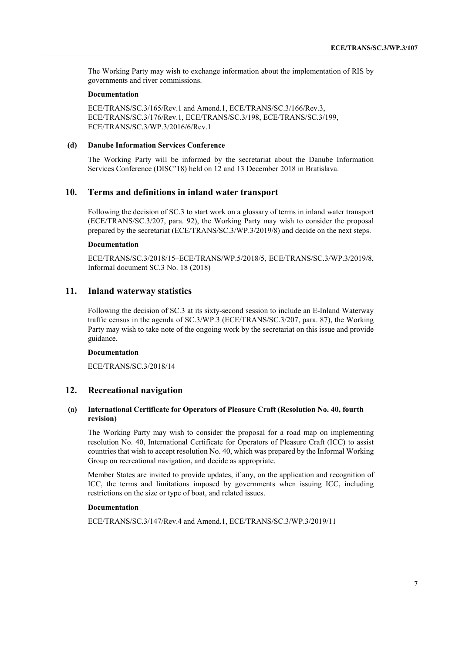The Working Party may wish to exchange information about the implementation of RIS by governments and river commissions.

#### **Documentation**

ECE/TRANS/SC.3/165/Rev.1 and Amend.1, ECE/TRANS/SC.3/166/Rev.3, ECE/TRANS/SC.3/176/Rev.1, ECE/TRANS/SC.3/198, ECE/TRANS/SC.3/199, ECE/TRANS/SC.3/WP.3/2016/6/Rev.1

#### **(d) Danube Information Services Conference**

The Working Party will be informed by the secretariat about the Danube Information Services Conference (DISC'18) held on 12 and 13 December 2018 in Bratislava.

## **10. Terms and definitions in inland water transport**

Following the decision of SC.3 to start work on a glossary of terms in inland water transport (ECE/TRANS/SC.3/207, para. 92), the Working Party may wish to consider the proposal prepared by the secretariat (ECE/TRANS/SC.3/WP.3/2019/8) and decide on the next steps.

#### **Documentation**

ECE/TRANS/SC.3/2018/15–ECE/TRANS/WP.5/2018/5, ECE/TRANS/SC.3/WP.3/2019/8, Informal document SC.3 No. 18 (2018)

#### **11. Inland waterway statistics**

Following the decision of SC.3 at its sixty-second session to include an E-Inland Waterway traffic census in the agenda of SC.3/WP.3 (ECE/TRANS/SC.3/207, para. 87), the Working Party may wish to take note of the ongoing work by the secretariat on this issue and provide guidance.

#### **Documentation**

ECE/TRANS/SC.3/2018/14

## **12. Recreational navigation**

#### **(a) International Certificate for Operators of Pleasure Craft (Resolution No. 40, fourth revision)**

The Working Party may wish to consider the proposal for a road map on implementing resolution No. 40, International Certificate for Operators of Pleasure Craft (ICC) to assist countries that wish to accept resolution No. 40, which was prepared by the Informal Working Group on recreational navigation, and decide as appropriate.

Member States are invited to provide updates, if any, on the application and recognition of ICC, the terms and limitations imposed by governments when issuing ICC, including restrictions on the size or type of boat, and related issues.

#### **Documentation**

ECE/TRANS/SC.3/147/Rev.4 and Amend.1, ECE/TRANS/SC.3/WP.3/2019/11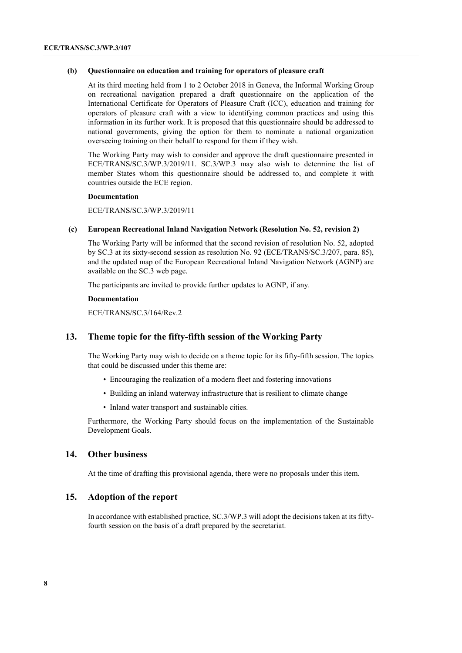#### **(b) Questionnaire on education and training for operators of pleasure craft**

At its third meeting held from 1 to 2 October 2018 in Geneva, the Informal Working Group on recreational navigation prepared a draft questionnaire on the application of the International Certificate for Operators of Pleasure Craft (ICC), education and training for operators of pleasure craft with a view to identifying common practices and using this information in its further work. It is proposed that this questionnaire should be addressed to national governments, giving the option for them to nominate a national organization overseeing training on their behalf to respond for them if they wish.

The Working Party may wish to consider and approve the draft questionnaire presented in ECE/TRANS/SC.3/WP.3/2019/11. SC.3/WP.3 may also wish to determine the list of member States whom this questionnaire should be addressed to, and complete it with countries outside the ECE region.

#### **Documentation**

ECE/TRANS/SC.3/WP.3/2019/11

#### **(c) European Recreational Inland Navigation Network (Resolution No. 52, revision 2)**

The Working Party will be informed that the second revision of resolution No. 52, adopted by SC.3 at its sixty-second session as resolution No. 92 (ECE/TRANS/SC.3/207, para. 85), and the updated map of the European Recreational Inland Navigation Network (AGNP) are available on the SC.3 web page.

The participants are invited to provide further updates to AGNP, if any.

#### **Documentation**

ECE/TRANS/SC.3/164/Rev.2

## **13. Theme topic for the fifty-fifth session of the Working Party**

The Working Party may wish to decide on a theme topic for its fifty-fifth session. The topics that could be discussed under this theme are:

- Encouraging the realization of a modern fleet and fostering innovations
- Building an inland waterway infrastructure that is resilient to climate change
- Inland water transport and sustainable cities.

Furthermore, the Working Party should focus on the implementation of the Sustainable Development Goals.

## **14. Other business**

At the time of drafting this provisional agenda, there were no proposals under this item.

## **15. Adoption of the report**

In accordance with established practice, SC.3/WP.3 will adopt the decisions taken at its fiftyfourth session on the basis of a draft prepared by the secretariat.